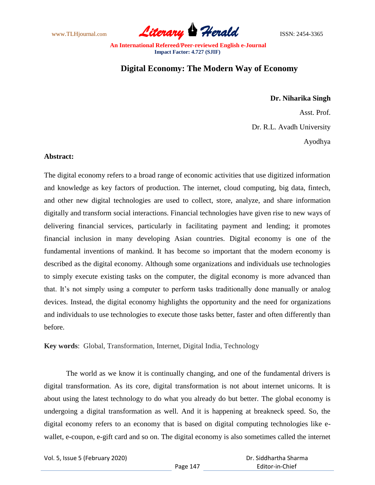www.TLHjournal.com **Literary Herald Herald** ISSN: 2454-3365

## **Digital Economy: The Modern Way of Economy**

## **Dr. Niharika Singh**

Asst. Prof.

Dr. R.L. Avadh University

Ayodhya

## **Abstract:**

The digital economy refers to a broad range of economic activities that use digitized information and knowledge as key factors of production. The internet, cloud computing, big data, fintech, and other new digital technologies are used to collect, store, analyze, and share information digitally and transform social interactions. Financial technologies have given rise to new ways of delivering financial services, particularly in facilitating payment and lending; it promotes financial inclusion in many developing Asian countries. Digital economy is one of the fundamental inventions of mankind. It has become so important that the modern economy is described as the digital economy. Although some organizations and individuals use technologies to simply execute existing tasks on the computer, the digital economy is more advanced than that. It's not simply using a computer to perform tasks traditionally done manually or analog devices. Instead, the digital economy highlights the opportunity and the need for organizations and individuals to use technologies to execute those tasks better, faster and often differently than before.

**Key words**: Global, Transformation, Internet, Digital India, Technology

The world as we know it is continually changing, and one of the fundamental drivers is digital transformation. As its core, digital transformation is not about internet unicorns. It is about using the latest technology to do what you already do but better. The global economy is undergoing a digital transformation as well. And it is happening at breakneck speed. So, the digital economy refers to an economy that is based on digital computing technologies like ewallet, e-coupon, e-gift card and so on. The digital economy is also sometimes called the internet

Vol. 5, Issue 5 (February 2020)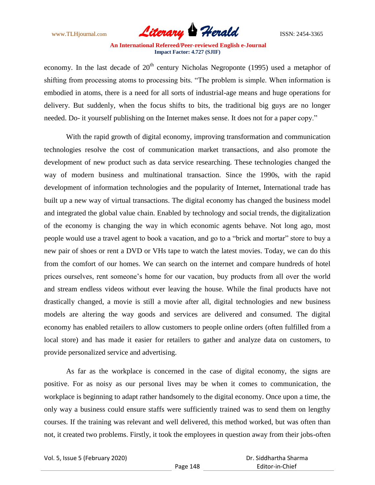

economy. In the last decade of  $20<sup>th</sup>$  century Nicholas Negroponte (1995) used a metaphor of shifting from processing atoms to processing bits. "The problem is simple. When information is embodied in atoms, there is a need for all sorts of industrial-age means and huge operations for delivery. But suddenly, when the focus shifts to bits, the traditional big guys are no longer needed. Do- it yourself publishing on the Internet makes sense. It does not for a paper copy."

With the rapid growth of digital economy, improving transformation and communication technologies resolve the cost of communication market transactions, and also promote the development of new product such as data service researching. These technologies changed the way of modern business and multinational transaction. Since the 1990s, with the rapid development of information technologies and the popularity of Internet, International trade has built up a new way of virtual transactions. The digital economy has changed the business model and integrated the global value chain. Enabled by technology and social trends, the digitalization of the economy is changing the way in which economic agents behave. Not long ago, most people would use a travel agent to book a vacation, and go to a "brick and mortar" store to buy a new pair of shoes or rent a DVD or VHs tape to watch the latest movies. Today, we can do this from the comfort of our homes. We can search on the internet and compare hundreds of hotel prices ourselves, rent someone"s home for our vacation, buy products from all over the world and stream endless videos without ever leaving the house. While the final products have not drastically changed, a movie is still a movie after all, digital technologies and new business models are altering the way goods and services are delivered and consumed. The digital economy has enabled retailers to allow customers to people online orders (often fulfilled from a local store) and has made it easier for retailers to gather and analyze data on customers, to provide personalized service and advertising.

As far as the workplace is concerned in the case of digital economy, the signs are positive. For as noisy as our personal lives may be when it comes to communication, the workplace is beginning to adapt rather handsomely to the digital economy. Once upon a time, the only way a business could ensure staffs were sufficiently trained was to send them on lengthy courses. If the training was relevant and well delivered, this method worked, but was often than not, it created two problems. Firstly, it took the employees in question away from their jobs-often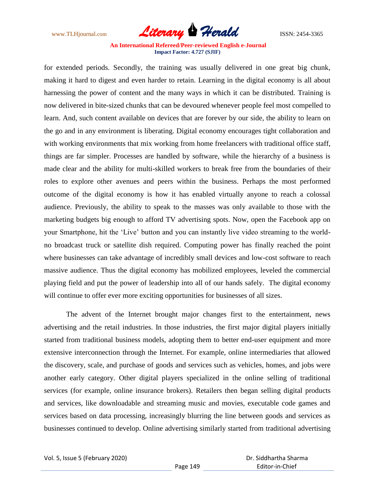

for extended periods. Secondly, the training was usually delivered in one great big chunk, making it hard to digest and even harder to retain. Learning in the digital economy is all about harnessing the power of content and the many ways in which it can be distributed. Training is now delivered in bite-sized chunks that can be devoured whenever people feel most compelled to learn. And, such content available on devices that are forever by our side, the ability to learn on the go and in any environment is liberating. Digital economy encourages tight collaboration and with working environments that mix working from home freelancers with traditional office staff, things are far simpler. Processes are handled by software, while the hierarchy of a business is made clear and the ability for multi-skilled workers to break free from the boundaries of their roles to explore other avenues and peers within the business. Perhaps the most performed outcome of the digital economy is how it has enabled virtually anyone to reach a colossal audience. Previously, the ability to speak to the masses was only available to those with the marketing budgets big enough to afford TV advertising spots. Now, open the Facebook app on your Smartphone, hit the "Live" button and you can instantly live video streaming to the worldno broadcast truck or satellite dish required. Computing power has finally reached the point where businesses can take advantage of incredibly small devices and low-cost software to reach massive audience. Thus the digital economy has mobilized employees, leveled the commercial playing field and put the power of leadership into all of our hands safely. The digital economy will continue to offer ever more exciting opportunities for businesses of all sizes.

The advent of the Internet brought major changes first to the entertainment, news advertising and the retail industries. In those industries, the first major digital players initially started from traditional business models, adopting them to better end-user equipment and more extensive interconnection through the Internet. For example, online intermediaries that allowed the discovery, scale, and purchase of goods and services such as vehicles, homes, and jobs were another early category. Other digital players specialized in the online selling of traditional services (for example, online insurance brokers). Retailers then began selling digital products and services, like downloadable and streaming music and movies, executable code games and services based on data processing, increasingly blurring the line between goods and services as businesses continued to develop. Online advertising similarly started from traditional advertising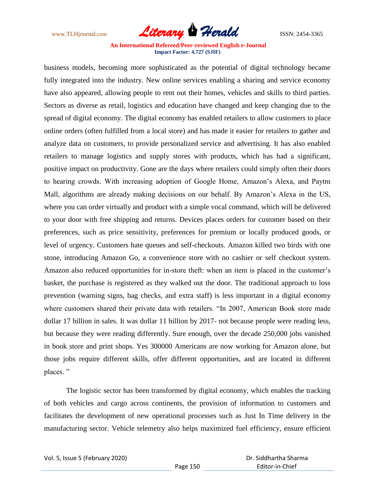

business models, becoming more sophisticated as the potential of digital technology became fully integrated into the industry. New online services enabling a sharing and service economy have also appeared, allowing people to rent out their homes, vehicles and skills to third parties. Sectors as diverse as retail, logistics and education have changed and keep changing due to the spread of digital economy. The digital economy has enabled retailers to allow customers to place online orders (often fulfilled from a local store) and has made it easier for retailers to gather and analyze data on customers, to provide personalized service and advertising. It has also enabled retailers to manage logistics and supply stores with products, which has had a significant, positive impact on productivity. Gone are the days where retailers could simply often their doors to hearing crowds. With increasing adoption of Google Home, Amazon"s Alexa, and Paytm Mall, algorithms are already making decisions on our behalf. By Amazon's Alexa in the US, where you can order virtually and product with a simple vocal command, which will be delivered to your door with free shipping and returns. Devices places orders for customer based on their preferences, such as price sensitivity, preferences for premium or locally produced goods, or level of urgency. Customers hate queues and self-checkouts. Amazon killed two birds with one stone, introducing Amazon Go, a convenience store with no cashier or self checkout system. Amazon also reduced opportunities for in-store theft: when an item is placed in the customer's basket, the purchase is registered as they walked out the door. The traditional approach to loss prevention (warning signs, bag checks, and extra staff) is less important in a digital economy where customers shared their private data with retailers. "In 2007, American Book store made dollar 17 billion in sales. It was dollar 11 billion by 2017- not because people were reading less, but because they were reading differently. Sure enough, over the decade 250,000 jobs vanished in book store and print shops. Yes 300000 Americans are now working for Amazon alone, but those jobs require different skills, offer different opportunities, and are located in different places. "

The logistic sector has been transformed by digital economy, which enables the tracking of both vehicles and cargo across continents, the provision of information to customers and facilitates the development of new operational processes such as Just In Time delivery in the manufacturing sector. Vehicle telemetry also helps maximized fuel efficiency, ensure efficient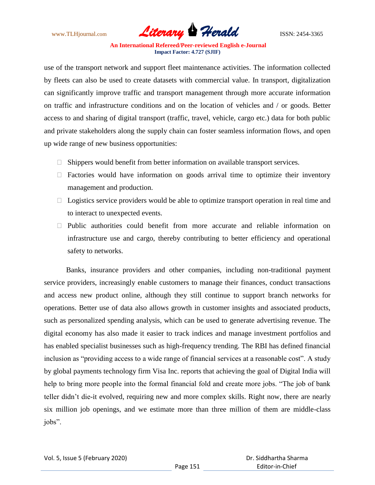

use of the transport network and support fleet maintenance activities. The information collected by fleets can also be used to create datasets with commercial value. In transport, digitalization can significantly improve traffic and transport management through more accurate information on traffic and infrastructure conditions and on the location of vehicles and / or goods. Better access to and sharing of digital transport (traffic, travel, vehicle, cargo etc.) data for both public and private stakeholders along the supply chain can foster seamless information flows, and open up wide range of new business opportunities:

- $\Box$  Shippers would benefit from better information on available transport services.
- $\Box$  Factories would have information on goods arrival time to optimize their inventory management and production.
- $\Box$  Logistics service providers would be able to optimize transport operation in real time and to interact to unexpected events.
- ⮚ Public authorities could benefit from more accurate and reliable information on infrastructure use and cargo, thereby contributing to better efficiency and operational safety to networks.

Banks, insurance providers and other companies, including non-traditional payment service providers, increasingly enable customers to manage their finances, conduct transactions and access new product online, although they still continue to support branch networks for operations. Better use of data also allows growth in customer insights and associated products, such as personalized spending analysis, which can be used to generate advertising revenue. The digital economy has also made it easier to track indices and manage investment portfolios and has enabled specialist businesses such as high-frequency trending. The RBI has defined financial inclusion as "providing access to a wide range of financial services at a reasonable cost". A study by global payments technology firm Visa Inc. reports that achieving the goal of Digital India will help to bring more people into the formal financial fold and create more jobs. "The job of bank teller didn"t die-it evolved, requiring new and more complex skills. Right now, there are nearly six million job openings, and we estimate more than three million of them are middle-class jobs".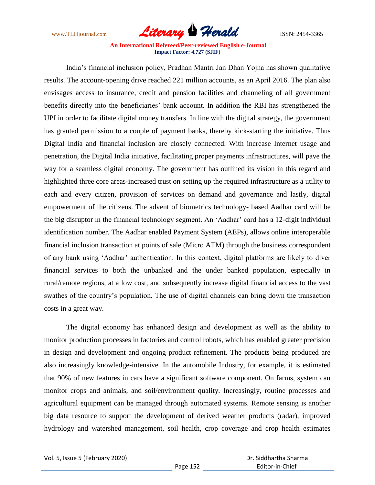

India"s financial inclusion policy, Pradhan Mantri Jan Dhan Yojna has shown qualitative results. The account-opening drive reached 221 million accounts, as an April 2016. The plan also envisages access to insurance, credit and pension facilities and channeling of all government benefits directly into the beneficiaries' bank account. In addition the RBI has strengthened the UPI in order to facilitate digital money transfers. In line with the digital strategy, the government has granted permission to a couple of payment banks, thereby kick-starting the initiative. Thus Digital India and financial inclusion are closely connected. With increase Internet usage and penetration, the Digital India initiative, facilitating proper payments infrastructures, will pave the way for a seamless digital economy. The government has outlined its vision in this regard and highlighted three core areas-increased trust on setting up the required infrastructure as a utility to each and every citizen, provision of services on demand and governance and lastly, digital empowerment of the citizens. The advent of biometrics technology- based Aadhar card will be the big disruptor in the financial technology segment. An "Aadhar" card has a 12-digit individual identification number. The Aadhar enabled Payment System (AEPs), allows online interoperable financial inclusion transaction at points of sale (Micro ATM) through the business correspondent of any bank using "Aadhar" authentication. In this context, digital platforms are likely to diver financial services to both the unbanked and the under banked population, especially in rural/remote regions, at a low cost, and subsequently increase digital financial access to the vast swathes of the country's population. The use of digital channels can bring down the transaction costs in a great way.

The digital economy has enhanced design and development as well as the ability to monitor production processes in factories and control robots, which has enabled greater precision in design and development and ongoing product refinement. The products being produced are also increasingly knowledge-intensive. In the automobile Industry, for example, it is estimated that 90% of new features in cars have a significant software component. On farms, system can monitor crops and animals, and soil/environment quality. Increasingly, routine processes and agricultural equipment can be managed through automated systems. Remote sensing is another big data resource to support the development of derived weather products (radar), improved hydrology and watershed management, soil health, crop coverage and crop health estimates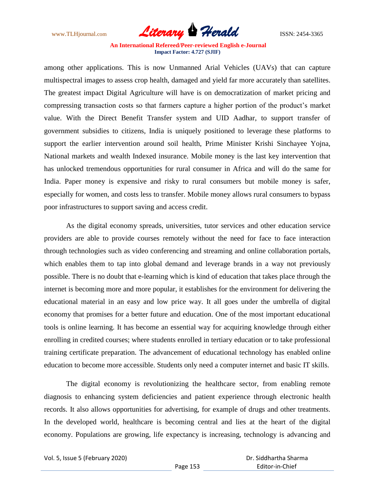

among other applications. This is now Unmanned Arial Vehicles (UAVs) that can capture multispectral images to assess crop health, damaged and yield far more accurately than satellites. The greatest impact Digital Agriculture will have is on democratization of market pricing and compressing transaction costs so that farmers capture a higher portion of the product's market value. With the Direct Benefit Transfer system and UID Aadhar, to support transfer of government subsidies to citizens, India is uniquely positioned to leverage these platforms to support the earlier intervention around soil health, Prime Minister Krishi Sinchayee Yojna, National markets and wealth Indexed insurance. Mobile money is the last key intervention that has unlocked tremendous opportunities for rural consumer in Africa and will do the same for India. Paper money is expensive and risky to rural consumers but mobile money is safer, especially for women, and costs less to transfer. Mobile money allows rural consumers to bypass poor infrastructures to support saving and access credit.

As the digital economy spreads, universities, tutor services and other education service providers are able to provide courses remotely without the need for face to face interaction through technologies such as video conferencing and streaming and online collaboration portals, which enables them to tap into global demand and leverage brands in a way not previously possible. There is no doubt that e-learning which is kind of education that takes place through the internet is becoming more and more popular, it establishes for the environment for delivering the educational material in an easy and low price way. It all goes under the umbrella of digital economy that promises for a better future and education. One of the most important educational tools is online learning. It has become an essential way for acquiring knowledge through either enrolling in credited courses; where students enrolled in tertiary education or to take professional training certificate preparation. The advancement of educational technology has enabled online education to become more accessible. Students only need a computer internet and basic IT skills.

The digital economy is revolutionizing the healthcare sector, from enabling remote diagnosis to enhancing system deficiencies and patient experience through electronic health records. It also allows opportunities for advertising, for example of drugs and other treatments. In the developed world, healthcare is becoming central and lies at the heart of the digital economy. Populations are growing, life expectancy is increasing, technology is advancing and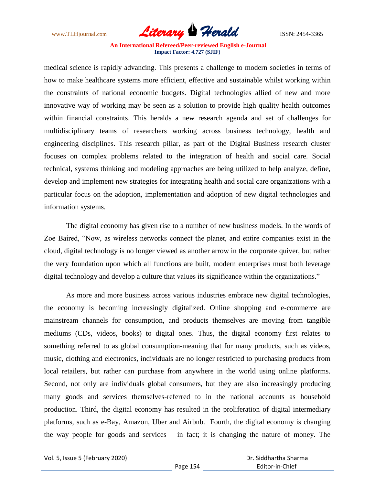

medical science is rapidly advancing. This presents a challenge to modern societies in terms of how to make healthcare systems more efficient, effective and sustainable whilst working within the constraints of national economic budgets. Digital technologies allied of new and more innovative way of working may be seen as a solution to provide high quality health outcomes within financial constraints. This heralds a new research agenda and set of challenges for multidisciplinary teams of researchers working across business technology, health and engineering disciplines. This research pillar, as part of the Digital Business research cluster focuses on complex problems related to the integration of health and social care. Social technical, systems thinking and modeling approaches are being utilized to help analyze, define, develop and implement new strategies for integrating health and social care organizations with a particular focus on the adoption, implementation and adoption of new digital technologies and information systems.

The digital economy has given rise to a number of new business models. In the words of Zoe Baired, "Now, as wireless networks connect the planet, and entire companies exist in the cloud, digital technology is no longer viewed as another arrow in the corporate quiver, but rather the very foundation upon which all functions are built, modern enterprises must both leverage digital technology and develop a culture that values its significance within the organizations."

As more and more business across various industries embrace new digital technologies, the economy is becoming increasingly digitalized. Online shopping and e-commerce are mainstream channels for consumption, and products themselves are moving from tangible mediums (CDs, videos, books) to digital ones. Thus, the digital economy first relates to something referred to as global consumption-meaning that for many products, such as videos, music, clothing and electronics, individuals are no longer restricted to purchasing products from local retailers, but rather can purchase from anywhere in the world using online platforms. Second, not only are individuals global consumers, but they are also increasingly producing many goods and services themselves-referred to in the national accounts as household production. Third, the digital economy has resulted in the proliferation of digital intermediary platforms, such as e-Bay, Amazon, Uber and Airbnb. Fourth, the digital economy is changing the way people for goods and services – in fact; it is changing the nature of money. The